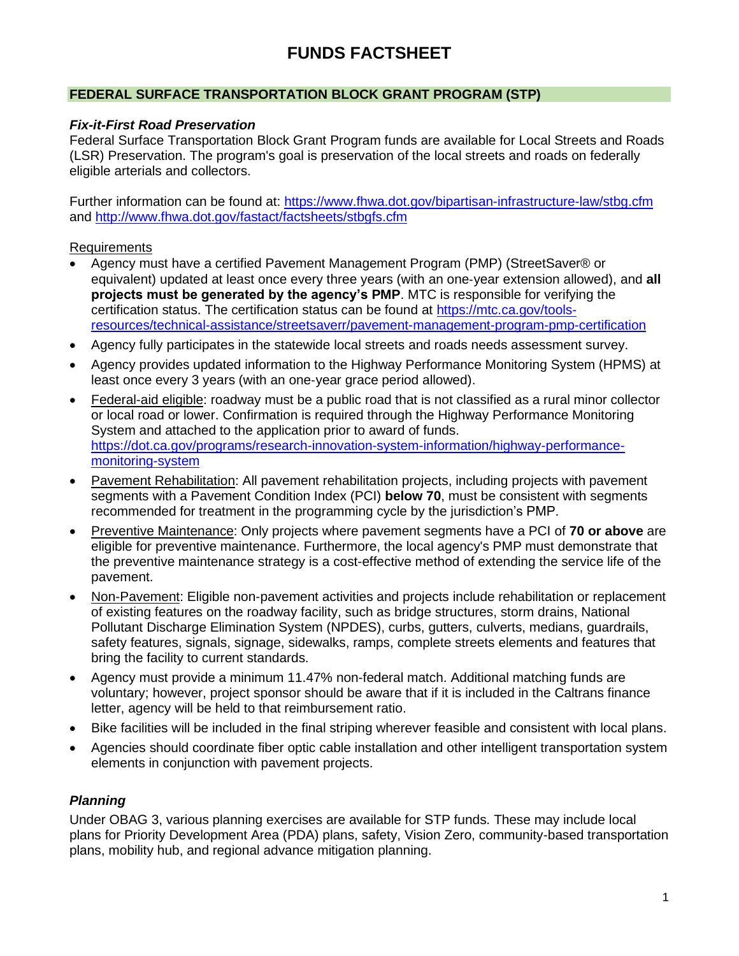# **FUNDS FACTSHEET**

## **FEDERAL SURFACE TRANSPORTATION BLOCK GRANT PROGRAM (STP)**

## *Fix-it-First Road Preservation*

Federal Surface Transportation Block Grant Program funds are available for Local Streets and Roads (LSR) Preservation. The program's goal is preservation of the local streets and roads on federally eligible arterials and collectors.

Further information can be found at:<https://www.fhwa.dot.gov/bipartisan-infrastructure-law/stbg.cfm> and<http://www.fhwa.dot.gov/fastact/factsheets/stbgfs.cfm>

## **Requirements**

- Agency must have a certified Pavement Management Program (PMP) (StreetSaver® or equivalent) updated at least once every three years (with an one‐year extension allowed), and **all projects must be generated by the agency's PMP**. MTC is responsible for verifying the certification status. The certification status can be found at [https://mtc.ca.gov/tools](https://mtc.ca.gov/tools-resources/technical-assistance/streetsaverr/pavement-management-program-pmp-certification)[resources/technical-assistance/streetsaverr/pavement-management-program-pmp-certification](https://mtc.ca.gov/tools-resources/technical-assistance/streetsaverr/pavement-management-program-pmp-certification)
- Agency fully participates in the statewide local streets and roads needs assessment survey.
- Agency provides updated information to the Highway Performance Monitoring System (HPMS) at least once every 3 years (with an one‐year grace period allowed).
- Federal-aid eligible: roadway must be a public road that is not classified as a rural minor collector or local road or lower. Confirmation is required through the Highway Performance Monitoring System and attached to the application prior to award of funds. [https://dot.ca.gov/programs/research-innovation-system-information/highway-performance](https://dot.ca.gov/programs/research-innovation-system-information/highway-performance-monitoring-system)[monitoring-system](https://dot.ca.gov/programs/research-innovation-system-information/highway-performance-monitoring-system)
- Pavement Rehabilitation: All pavement rehabilitation projects, including projects with pavement segments with a Pavement Condition Index (PCI) **below 70**, must be consistent with segments recommended for treatment in the programming cycle by the jurisdiction's PMP.
- Preventive Maintenance: Only projects where pavement segments have a PCI of **70 or above** are eligible for preventive maintenance. Furthermore, the local agency's PMP must demonstrate that the preventive maintenance strategy is a cost-effective method of extending the service life of the pavement.
- Non-Pavement: Eligible non-pavement activities and projects include rehabilitation or replacement of existing features on the roadway facility, such as bridge structures, storm drains, National Pollutant Discharge Elimination System (NPDES), curbs, gutters, culverts, medians, guardrails, safety features, signals, signage, sidewalks, ramps, complete streets elements and features that bring the facility to current standards.
- Agency must provide a minimum 11.47% non-federal match. Additional matching funds are voluntary; however, project sponsor should be aware that if it is included in the Caltrans finance letter, agency will be held to that reimbursement ratio.
- Bike facilities will be included in the final striping wherever feasible and consistent with local plans.
- Agencies should coordinate fiber optic cable installation and other intelligent transportation system elements in conjunction with pavement projects.

## *Planning*

Under OBAG 3, various planning exercises are available for STP funds. These may include local plans for Priority Development Area (PDA) plans, safety, Vision Zero, community-based transportation plans, mobility hub, and regional advance mitigation planning.